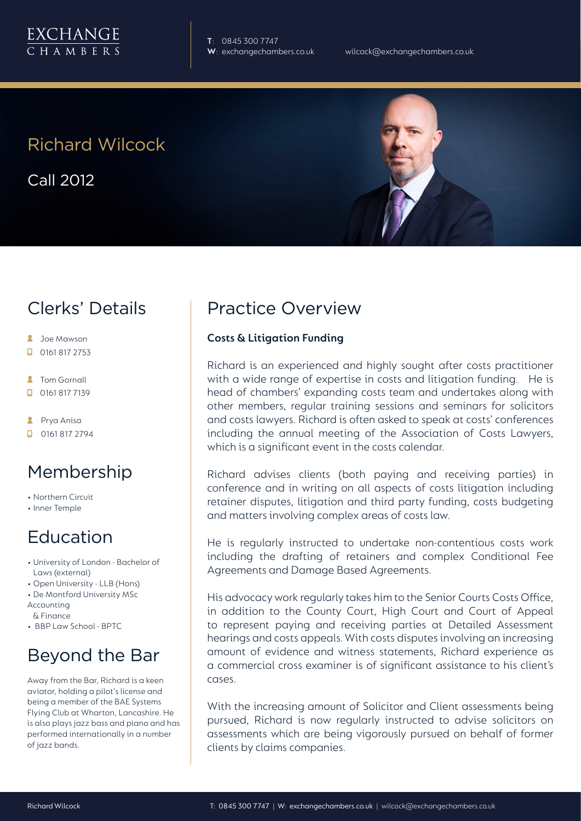

**T**: 0845 300 7747

# Richard Wilcock

Call 2012

## Clerks' Details

- **2** Joe Mawson
- $\Box$  0161 817 2753
- **2** Tom Gornall
- 0161 817 7139
- **2** Prya Anisa
- **D** 0161 817 2794

### Membership

- Northern Circuit
- Inner Temple

## Education

- University of London Bachelor of Laws (external)
- Open University LLB (Hons)
- De Montford University MSc
- Accounting & Finance
- BBP Law School BPTC

# Beyond the Bar

Away from the Bar, Richard is a keen aviator, holding a pilot's license and being a member of the BAE Systems Flying Club at Wharton, Lancashire. He is also plays jazz bass and piano and has performed internationally in a number of jazz bands.

## Practice Overview

#### **Costs & Litigation Funding**

Richard is an experienced and highly sought after costs practitioner with a wide range of expertise in costs and litigation funding. He is head of chambers' expanding costs team and undertakes along with other members, regular training sessions and seminars for solicitors and costs lawyers. Richard is often asked to speak at costs' conferences including the annual meeting of the Association of Costs Lawyers, which is a significant event in the costs calendar.

Richard advises clients (both paying and receiving parties) in conference and in writing on all aspects of costs litigation including retainer disputes, litigation and third party funding, costs budgeting and matters involving complex areas of costs law.

He is regularly instructed to undertake non-contentious costs work including the drafting of retainers and complex Conditional Fee Agreements and Damage Based Agreements.

His advocacy work regularly takes him to the Senior Courts Costs Office, in addition to the County Court, High Court and Court of Appeal to represent paying and receiving parties at Detailed Assessment hearings and costs appeals. With costs disputes involving an increasing amount of evidence and witness statements, Richard experience as a commercial cross examiner is of significant assistance to his client's cases.

With the increasing amount of Solicitor and Client assessments being pursued, Richard is now regularly instructed to advise solicitors on assessments which are being vigorously pursued on behalf of former clients by claims companies.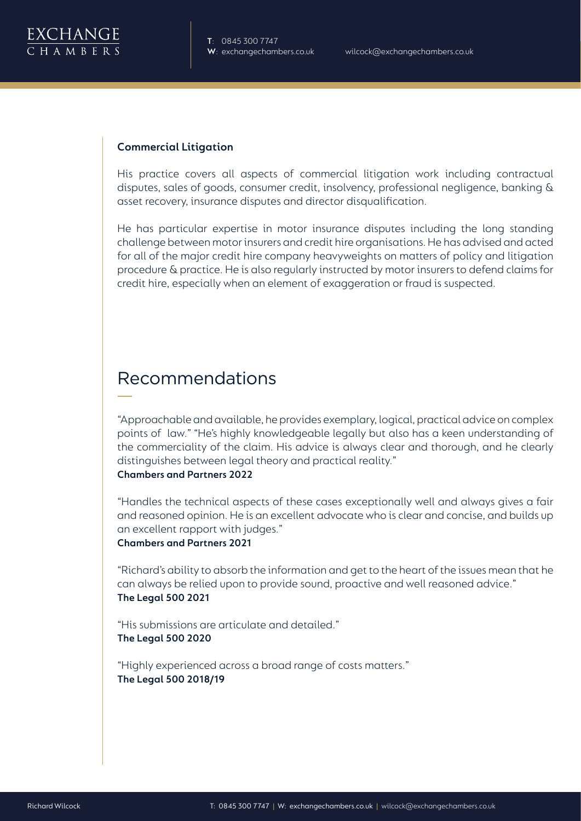

#### **Commercial Litigation**

His practice covers all aspects of commercial litigation work including contractual disputes, sales of goods, consumer credit, insolvency, professional negligence, banking & asset recovery, insurance disputes and director disqualification.

He has particular expertise in motor insurance disputes including the long standing challenge between motor insurers and credit hire organisations. He has advised and acted for all of the major credit hire company heavyweights on matters of policy and litigation procedure & practice. He is also regularly instructed by motor insurers to defend claims for credit hire, especially when an element of exaggeration or fraud is suspected.

### Recommendations

"Approachable and available, he provides exemplary, logical, practical advice on complex points of law." "He's highly knowledgeable legally but also has a keen understanding of the commerciality of the claim. His advice is always clear and thorough, and he clearly distinguishes between legal theory and practical reality."

#### **Chambers and Partners 2022**

"Handles the technical aspects of these cases exceptionally well and always gives a fair and reasoned opinion. He is an excellent advocate who is clear and concise, and builds up an excellent rapport with judges."

#### **Chambers and Partners 2021**

"Richard's ability to absorb the information and get to the heart of the issues mean that he can always be relied upon to provide sound, proactive and well reasoned advice." **The Legal 500 2021**

"His submissions are articulate and detailed." **The Legal 500 2020**

"Highly experienced across a broad range of costs matters." **The Legal 500 2018/19**